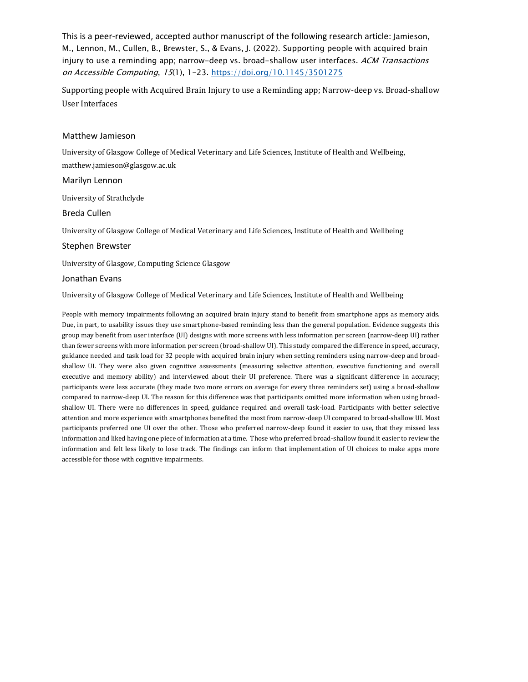This is a peer-reviewed, accepted author manuscript of the following research article: Jamieson, M., Lennon, M., Cullen, B., Brewster, S., & Evans, J. (2022). Supporting people with acquired brain injury to use a reminding app; narrow-deep vs. broad-shallow user interfaces. ACM Transactions on Accessible Computing, 15(1), 1-23. <https://doi.org/10.1145/3501275>

Supporting people with Acquired Brain Injury to use a Reminding app; Narrow-deep vs. Broad-shallow User Interfaces

## Matthew Jamieson

University of Glasgow College of Medical Veterinary and Life Sciences, Institute of Health and Wellbeing, matthew.jamieson@glasgow.ac.uk

## Marilyn Lennon

University of Strathclyde

## Breda Cullen

University of Glasgow College of Medical Veterinary and Life Sciences, Institute of Health and Wellbeing

## Stephen Brewster

University of Glasgow, Computing Science Glasgow

## Jonathan Evans

University of Glasgow College of Medical Veterinary and Life Sciences, Institute of Health and Wellbeing

People with memory impairments following an acquired brain injury stand to benefit from smartphone apps as memory aids. Due, in part, to usability issues they use smartphone-based reminding less than the general population. Evidence suggests this group may benefit from user interface (UI) designs with more screens with less information per screen (narrow-deep UI) rather than fewer screens with more information per screen (broad-shallow UI). This study compared the difference in speed, accuracy, guidance needed and task load for 32 people with acquired brain injury when setting reminders using narrow-deep and broadshallow UI. They were also given cognitive assessments (measuring selective attention, executive functioning and overall executive and memory ability) and interviewed about their UI preference. There was a significant difference in accuracy; participants were less accurate (they made two more errors on average for every three reminders set) using a broad-shallow compared to narrow-deep UI. The reason for this difference was that participants omitted more information when using broadshallow UI. There were no differences in speed, guidance required and overall task-load. Participants with better selective attention and more experience with smartphones benefited the most from narrow-deep UI compared to broad-shallow UI. Most participants preferred one UI over the other. Those who preferred narrow-deep found it easier to use, that they missed less information and liked having one piece of information at a time. Those who preferred broad-shallow found it easier to review the information and felt less likely to lose track. The findings can inform that implementation of UI choices to make apps more accessible for those with cognitive impairments.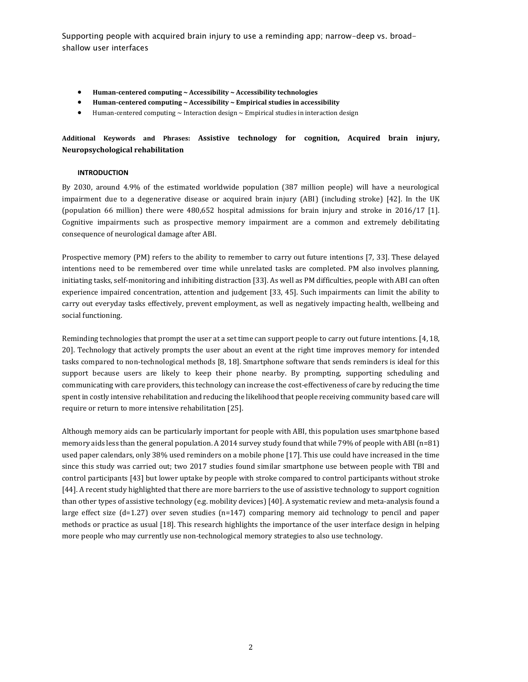- **Human-centered computing ~ Accessibility ~ Accessibility technologies**
- **Human-centered computing ~ Accessibility ~ Empirical studies in accessibility**
- Human-centered computing  $\sim$  Interaction design  $\sim$  Empirical studies in interaction design

## **Additional Keywords and Phrases: Assistive technology for cognition, Acquired brain injury, Neuropsychological rehabilitation**

### **INTRODUCTION**

By 2030, around 4.9% of the estimated worldwide population (387 million people) will have a neurological impairment due to a degenerative disease or acquired brain injury (ABI) (including stroke) [42]. In the UK (population 66 million) there were 480,652 hospital admissions for brain injury and stroke in 2016/17 [1]. Cognitive impairments such as prospective memory impairment are a common and extremely debilitating consequence of neurological damage after ABI.

Prospective memory (PM) refers to the ability to remember to carry out future intentions [7, 33]. These delayed intentions need to be remembered over time while unrelated tasks are completed. PM also involves planning, initiating tasks, self-monitoring and inhibiting distraction [33]. As well as PM difficulties, people with ABI can often experience impaired concentration, attention and judgement [33, 45]. Such impairments can limit the ability to carry out everyday tasks effectively, prevent employment, as well as negatively impacting health, wellbeing and social functioning.

Reminding technologies that prompt the user at a set time can support people to carry out future intentions. [4, 18, 20]. Technology that actively prompts the user about an event at the right time improves memory for intended tasks compared to non-technological methods [8, 18]. Smartphone software that sends reminders is ideal for this support because users are likely to keep their phone nearby. By prompting, supporting scheduling and communicating with care providers, this technology can increase the cost-effectiveness of care by reducing the time spent in costly intensive rehabilitation and reducing the likelihood that people receiving community based care will require or return to more intensive rehabilitation [25].

Although memory aids can be particularly important for people with ABI, this population uses smartphone based memory aids less than the general population. A 2014 survey study found that while 79% of people with ABI (n=81) used paper calendars, only 38% used reminders on a mobile phone [17]. This use could have increased in the time since this study was carried out; two 2017 studies found similar smartphone use between people with TBI and control participants [43] but lower uptake by people with stroke compared to control participants without stroke [44]. A recent study highlighted that there are more barriers to the use of assistive technology to support cognition than other types of assistive technology (e.g. mobility devices) [40]. A systematic review and meta-analysis found a large effect size (d=1.27) over seven studies (n=147) comparing memory aid technology to pencil and paper methods or practice as usual [18]. This research highlights the importance of the user interface design in helping more people who may currently use non-technological memory strategies to also use technology.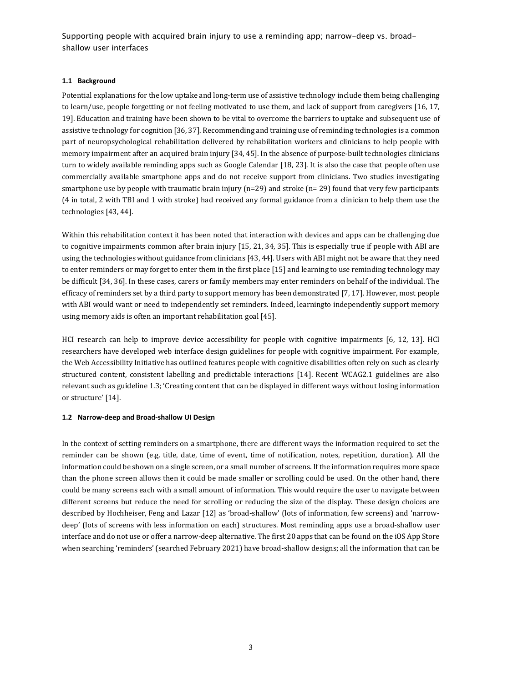## **1.1 Background**

Potential explanations for the low uptake and long-term use of assistive technology include them being challenging to learn/use, people forgetting or not feeling motivated to use them, and lack of support from caregivers [16, 17, 19]. Education and training have been shown to be vital to overcome the barriers to uptake and subsequent use of assistive technology for cognition [36, 37]. Recommending and training use of reminding technologies is a common part of neuropsychological rehabilitation delivered by rehabilitation workers and clinicians to help people with memory impairment after an acquired brain injury [34, 45]. In the absence of purpose-built technologies clinicians turn to widely available reminding apps such as Google Calendar [18, 23]. It is also the case that people often use commercially available smartphone apps and do not receive support from clinicians. Two studies investigating smartphone use by people with traumatic brain injury (n=29) and stroke (n= 29) found that very few participants (4 in total, 2 with TBI and 1 with stroke) had received any formal guidance from a clinician to help them use the technologies [43, 44].

Within this rehabilitation context it has been noted that interaction with devices and apps can be challenging due to cognitive impairments common after brain injury [15, 21, 34, 35]. This is especially true if people with ABI are using the technologies without guidance from clinicians [43, 44]. Users with ABI might not be aware that they need to enter reminders or may forget to enter them in the first place [15] and learning to use reminding technology may be difficult [34, 36]. In these cases, carers or family members may enter reminders on behalf of the individual. The efficacy of reminders set by a third party to support memory has been demonstrated [7, 17]. However, most people with ABI would want or need to independently set reminders. Indeed, learningto independently support memory using memory aids is often an important rehabilitation goal [45].

HCI research can help to improve device accessibility for people with cognitive impairments [6, 12, 13]. HCI researchers have developed web interface design guidelines for people with cognitive impairment. For example, the Web Accessibility Initiative has outlined features people with cognitive disabilities often rely on such as clearly structured content, consistent labelling and predictable interactions [14]. Recent WCAG2.1 guidelines are also relevant such as guideline 1.3; 'Creating content that can be displayed in different ways without losing information or structure' [14].

### **1.2 Narrow-deep and Broad-shallow UI Design**

In the context of setting reminders on a smartphone, there are different ways the information required to set the reminder can be shown (e.g. title, date, time of event, time of notification, notes, repetition, duration). All the information could be shown on a single screen, or a small number of screens. If the information requires more space than the phone screen allows then it could be made smaller or scrolling could be used. On the other hand, there could be many screens each with a small amount of information. This would require the user to navigate between different screens but reduce the need for scrolling or reducing the size of the display. These design choices are described by Hochheiser, Feng and Lazar [12] as 'broad-shallow' (lots of information, few screens) and 'narrowdeep' (lots of screens with less information on each) structures. Most reminding apps use a broad-shallow user interface and do not use or offer a narrow-deep alternative. The first 20 apps that can be found on the iOS App Store when searching 'reminders' (searched February 2021) have broad-shallow designs; all the information that can be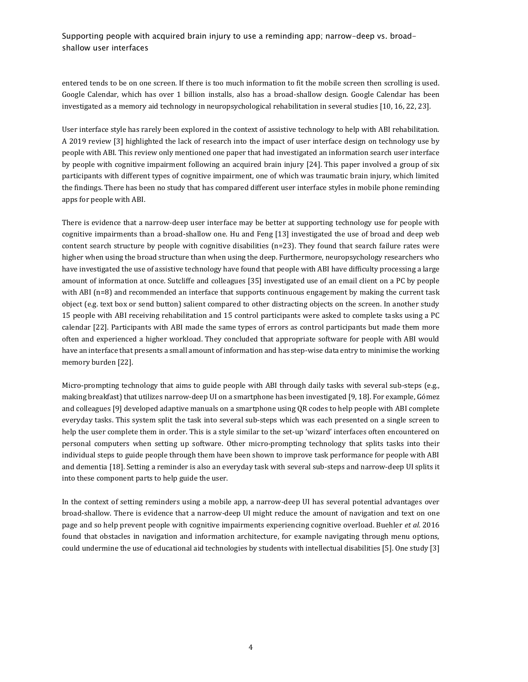entered tends to be on one screen. If there is too much information to fit the mobile screen then scrolling is used. Google Calendar, which has over 1 billion installs, also has a broad-shallow design. Google Calendar has been investigated as a memory aid technology in neuropsychological rehabilitation in several studies [10, 16, 22, 23].

User interface style has rarely been explored in the context of assistive technology to help with ABI rehabilitation. A 2019 review [3] highlighted the lack of research into the impact of user interface design on technology use by people with ABI. This review only mentioned one paper that had investigated an information search user interface by people with cognitive impairment following an acquired brain injury [24]. This paper involved a group of six participants with different types of cognitive impairment, one of which was traumatic brain injury, which limited the findings. There has been no study that has compared different user interface styles in mobile phone reminding apps for people with ABI.

There is evidence that a narrow-deep user interface may be better at supporting technology use for people with cognitive impairments than a broad-shallow one. Hu and Feng [13] investigated the use of broad and deep web content search structure by people with cognitive disabilities (n=23). They found that search failure rates were higher when using the broad structure than when using the deep. Furthermore, neuropsychology researchers who have investigated the use of assistive technology have found that people with ABI have difficulty processing a large amount of information at once. Sutcliffe and colleagues [35] investigated use of an email client on a PC by people with ABI (n=8) and recommended an interface that supports continuous engagement by making the current task object (e.g. text box or send button) salient compared to other distracting objects on the screen. In another study 15 people with ABI receiving rehabilitation and 15 control participants were asked to complete tasks using a PC calendar [22]. Participants with ABI made the same types of errors as control participants but made them more often and experienced a higher workload. They concluded that appropriate software for people with ABI would have an interface that presents a small amount of information and has step-wise data entry to minimise the working memory burden [22].

Micro-prompting technology that aims to guide people with ABI through daily tasks with several sub-steps (e.g., making breakfast) that utilizes narrow-deep UI on a smartphone has been investigated [9, 18]. For example, Gómez and colleagues [9] developed adaptive manuals on a smartphone using QR codes to help people with ABI complete everyday tasks. This system split the task into several sub-steps which was each presented on a single screen to help the user complete them in order. This is a style similar to the set-up 'wizard' interfaces often encountered on personal computers when setting up software. Other micro-prompting technology that splits tasks into their individual steps to guide people through them have been shown to improve task performance for people with ABI and dementia [18]. Setting a reminder is also an everyday task with several sub-steps and narrow-deep UI splits it into these component parts to help guide the user.

In the context of setting reminders using a mobile app, a narrow-deep UI has several potential advantages over broad-shallow. There is evidence that a narrow-deep UI might reduce the amount of navigation and text on one page and so help prevent people with cognitive impairments experiencing cognitive overload. Buehler *et al.* 2016 found that obstacles in navigation and information architecture, for example navigating through menu options, could undermine the use of educational aid technologies by students with intellectual disabilities [5]. One study [3]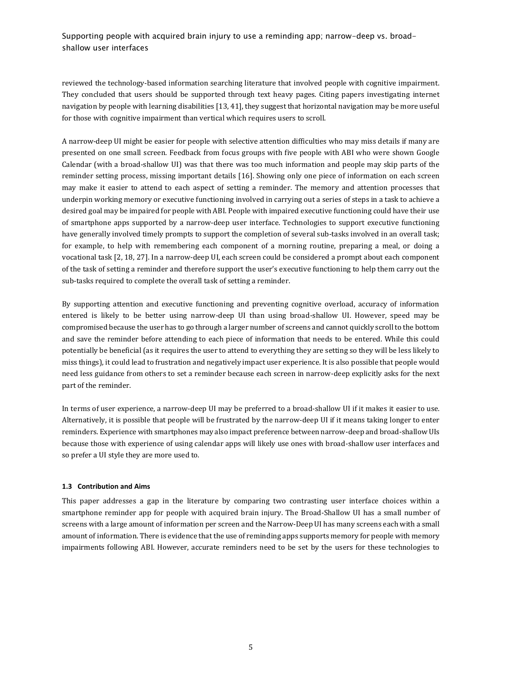reviewed the technology-based information searching literature that involved people with cognitive impairment. They concluded that users should be supported through text heavy pages. Citing papers investigating internet navigation by people with learning disabilities [13, 41], they suggest that horizontal navigation may be more useful for those with cognitive impairment than vertical which requires users to scroll.

A narrow-deep UI might be easier for people with selective attention difficulties who may miss details if many are presented on one small screen. Feedback from focus groups with five people with ABI who were shown Google Calendar (with a broad-shallow UI) was that there was too much information and people may skip parts of the reminder setting process, missing important details [16]. Showing only one piece of information on each screen may make it easier to attend to each aspect of setting a reminder. The memory and attention processes that underpin working memory or executive functioning involved in carrying out a series of steps in a task to achieve a desired goal may be impaired for people with ABI. People with impaired executive functioning could have their use of smartphone apps supported by a narrow-deep user interface. Technologies to support executive functioning have generally involved timely prompts to support the completion of several sub-tasks involved in an overall task; for example, to help with remembering each component of a morning routine, preparing a meal, or doing a vocational task [2, 18, 27]. In a narrow-deep UI, each screen could be considered a prompt about each component of the task of setting a reminder and therefore support the user's executive functioning to help them carry out the sub-tasks required to complete the overall task of setting a reminder.

By supporting attention and executive functioning and preventing cognitive overload, accuracy of information entered is likely to be better using narrow-deep UI than using broad-shallow UI. However, speed may be compromised because the user has to go through a larger number of screens and cannot quickly scroll to the bottom and save the reminder before attending to each piece of information that needs to be entered. While this could potentially be beneficial (as it requires the user to attend to everything they are setting so they will be less likely to miss things), it could lead to frustration and negatively impact user experience. It is also possible that people would need less guidance from others to set a reminder because each screen in narrow-deep explicitly asks for the next part of the reminder.

In terms of user experience, a narrow-deep UI may be preferred to a broad-shallow UI if it makes it easier to use. Alternatively, it is possible that people will be frustrated by the narrow-deep UI if it means taking longer to enter reminders. Experience with smartphones may also impact preference between narrow-deep and broad-shallow UIs because those with experience of using calendar apps will likely use ones with broad-shallow user interfaces and so prefer a UI style they are more used to.

## **1.3 Contribution and Aims**

This paper addresses a gap in the literature by comparing two contrasting user interface choices within a smartphone reminder app for people with acquired brain injury. The Broad-Shallow UI has a small number of screens with a large amount of information per screen and the Narrow-Deep UI has many screens each with a small amount of information. There is evidence that the use of reminding apps supports memory for people with memory impairments following ABI. However, accurate reminders need to be set by the users for these technologies to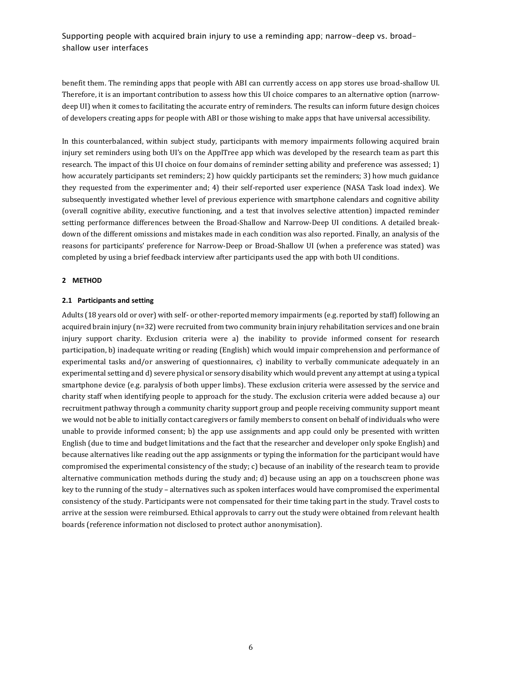benefit them. The reminding apps that people with ABI can currently access on app stores use broad-shallow UI. Therefore, it is an important contribution to assess how this UI choice compares to an alternative option (narrowdeep UI) when it comes to facilitating the accurate entry of reminders. The results can inform future design choices of developers creating apps for people with ABI or those wishing to make apps that have universal accessibility.

In this counterbalanced, within subject study, participants with memory impairments following acquired brain injury set reminders using both UI's on the ApplTree app which was developed by the research team as part this research. The impact of this UI choice on four domains of reminder setting ability and preference was assessed; 1) how accurately participants set reminders; 2) how quickly participants set the reminders; 3) how much guidance they requested from the experimenter and; 4) their self-reported user experience (NASA Task load index). We subsequently investigated whether level of previous experience with smartphone calendars and cognitive ability (overall cognitive ability, executive functioning, and a test that involves selective attention) impacted reminder setting performance differences between the Broad-Shallow and Narrow-Deep UI conditions. A detailed breakdown of the different omissions and mistakes made in each condition was also reported. Finally, an analysis of the reasons for participants' preference for Narrow-Deep or Broad-Shallow UI (when a preference was stated) was completed by using a brief feedback interview after participants used the app with both UI conditions.

### **2 METHOD**

### **2.1 Participants and setting**

Adults (18 years old or over) with self- or other-reported memory impairments (e.g. reported by staff) following an acquired brain injury (n=32) were recruited from two community brain injury rehabilitation services and one brain injury support charity. Exclusion criteria were a) the inability to provide informed consent for research participation, b) inadequate writing or reading (English) which would impair comprehension and performance of experimental tasks and/or answering of questionnaires, c) inability to verbally communicate adequately in an experimental setting and d) severe physical or sensory disability which would prevent any attempt at using a typical smartphone device (e.g. paralysis of both upper limbs). These exclusion criteria were assessed by the service and charity staff when identifying people to approach for the study. The exclusion criteria were added because a) our recruitment pathway through a community charity support group and people receiving community support meant we would not be able to initially contact caregivers or family members to consent on behalf of individuals who were unable to provide informed consent; b) the app use assignments and app could only be presented with written English (due to time and budget limitations and the fact that the researcher and developer only spoke English) and because alternatives like reading out the app assignments or typing the information for the participant would have compromised the experimental consistency of the study; c) because of an inability of the research team to provide alternative communication methods during the study and; d) because using an app on a touchscreen phone was key to the running of the study – alternatives such as spoken interfaces would have compromised the experimental consistency of the study. Participants were not compensated for their time taking part in the study. Travel costs to arrive at the session were reimbursed. Ethical approvals to carry out the study were obtained from relevant health boards (reference information not disclosed to protect author anonymisation).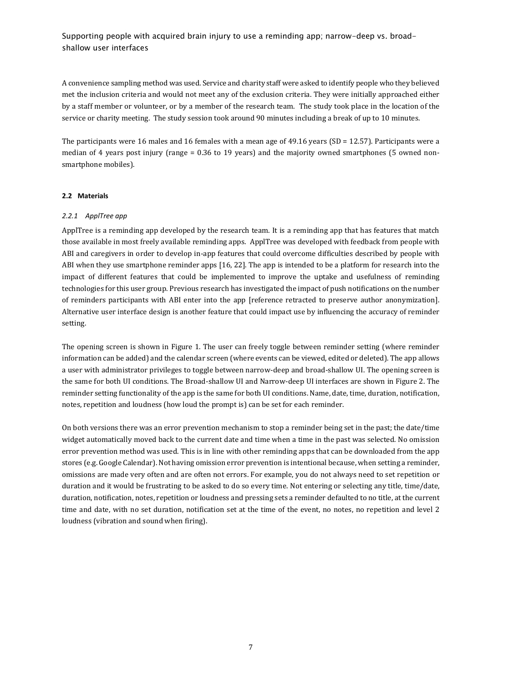A convenience sampling method was used. Service and charity staff were asked to identify people who they believed met the inclusion criteria and would not meet any of the exclusion criteria. They were initially approached either by a staff member or volunteer, or by a member of the research team. The study took place in the location of the service or charity meeting. The study session took around 90 minutes including a break of up to 10 minutes.

The participants were 16 males and 16 females with a mean age of 49.16 years (SD = 12.57). Participants were a median of 4 years post injury (range = 0.36 to 19 years) and the majority owned smartphones (5 owned nonsmartphone mobiles).

## **2.2 Materials**

### *2.2.1 ApplTree app*

ApplTree is a reminding app developed by the research team. It is a reminding app that has features that match those available in most freely available reminding apps. ApplTree was developed with feedback from people with ABI and caregivers in order to develop in-app features that could overcome difficulties described by people with ABI when they use smartphone reminder apps [16, 22]. The app is intended to be a platform for research into the impact of different features that could be implemented to improve the uptake and usefulness of reminding technologies for this user group. Previous research has investigated the impact of push notifications on the number of reminders participants with ABI enter into the app [reference retracted to preserve author anonymization]. Alternative user interface design is another feature that could impact use by influencing the accuracy of reminder setting.

The opening screen is shown in Figure 1. The user can freely toggle between reminder setting (where reminder information can be added) and the calendar screen (where events can be viewed, edited or deleted). The app allows a user with administrator privileges to toggle between narrow-deep and broad-shallow UI. The opening screen is the same for both UI conditions. The Broad-shallow UI and Narrow-deep UI interfaces are shown in Figure 2. The reminder setting functionality of the app is the same for both UI conditions. Name, date, time, duration, notification, notes, repetition and loudness (how loud the prompt is) can be set for each reminder.

On both versions there was an error prevention mechanism to stop a reminder being set in the past; the date/time widget automatically moved back to the current date and time when a time in the past was selected. No omission error prevention method was used. This is in line with other reminding apps that can be downloaded from the app stores (e.g. Google Calendar). Not having omission error prevention is intentional because, when setting a reminder, omissions are made very often and are often not errors. For example, you do not always need to set repetition or duration and it would be frustrating to be asked to do so every time. Not entering or selecting any title, time/date, duration, notification, notes, repetition or loudness and pressing sets a reminder defaulted to no title, at the current time and date, with no set duration, notification set at the time of the event, no notes, no repetition and level 2 loudness (vibration and sound when firing).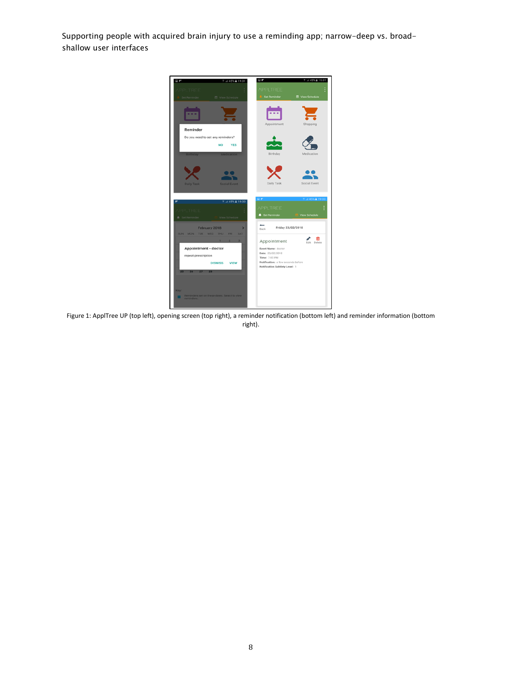

Figure 1: ApplTree UP (top left), opening screen (top right), a reminder notification (bottom left) and reminder information (bottom right).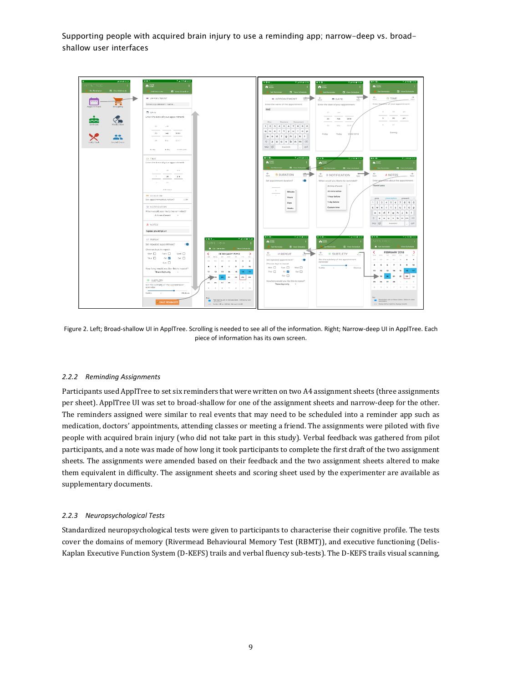

Figure 2. Left; Broad-shallow UI in ApplTree. Scrolling is needed to see all of the information. Right; Narrow-deep UI in ApplTree. Each piece of information has its own screen.

## *2.2.2 Reminding Assignments*

Participants used ApplTree to set six reminders that were written on two A4 assignment sheets (three assignments per sheet). ApplTree UI was set to broad-shallow for one of the assignment sheets and narrow-deep for the other. The reminders assigned were similar to real events that may need to be scheduled into a reminder app such as medication, doctors' appointments, attending classes or meeting a friend. The assignments were piloted with five people with acquired brain injury (who did not take part in this study). Verbal feedback was gathered from pilot participants, and a note was made of how long it took participants to complete the first draft of the two assignment sheets. The assignments were amended based on their feedback and the two assignment sheets altered to make them equivalent in difficulty. The assignment sheets and scoring sheet used by the experimenter are available as supplementary documents.

### *2.2.3 Neuropsychological Tests*

Standardized neuropsychological tests were given to participants to characterise their cognitive profile. The tests cover the domains of memory (Rivermead Behavioural Memory Test (RBMT)), and executive functioning (Delis-Kaplan Executive Function System (D-KEFS) trails and verbal fluency sub-tests). The D-KEFS trails visual scanning,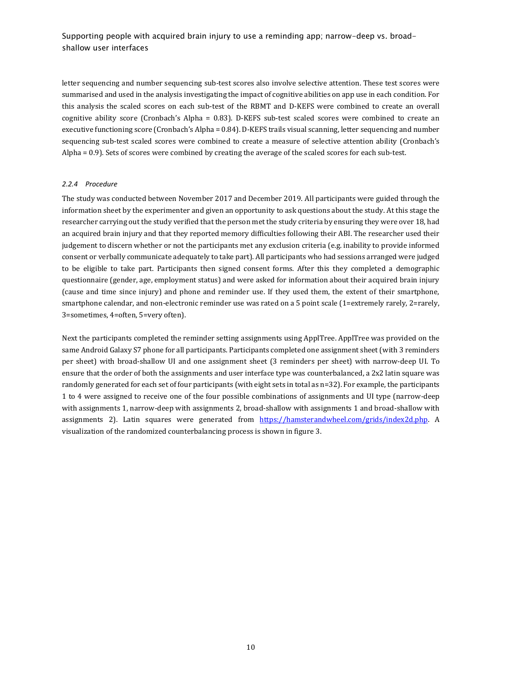letter sequencing and number sequencing sub-test scores also involve selective attention. These test scores were summarised and used in the analysis investigating the impact of cognitive abilities on app use in each condition. For this analysis the scaled scores on each sub-test of the RBMT and D-KEFS were combined to create an overall cognitive ability score (Cronbach's Alpha = 0.83). D-KEFS sub-test scaled scores were combined to create an executive functioning score (Cronbach's Alpha = 0.84). D-KEFS trails visual scanning, letter sequencing and number sequencing sub-test scaled scores were combined to create a measure of selective attention ability (Cronbach's Alpha = 0.9). Sets of scores were combined by creating the average of the scaled scores for each sub-test.

### *2.2.4 Procedure*

The study was conducted between November 2017 and December 2019. All participants were guided through the information sheet by the experimenter and given an opportunity to ask questions about the study. At this stage the researcher carrying out the study verified that the person met the study criteria by ensuring they were over 18, had an acquired brain injury and that they reported memory difficulties following their ABI. The researcher used their judgement to discern whether or not the participants met any exclusion criteria (e.g. inability to provide informed consent or verbally communicate adequately to take part). All participants who had sessions arranged were judged to be eligible to take part. Participants then signed consent forms. After this they completed a demographic questionnaire (gender, age, employment status) and were asked for information about their acquired brain injury (cause and time since injury) and phone and reminder use. If they used them, the extent of their smartphone, smartphone calendar, and non-electronic reminder use was rated on a 5 point scale (1=extremely rarely, 2=rarely, 3=sometimes, 4=often, 5=very often).

Next the participants completed the reminder setting assignments using ApplTree. ApplTree was provided on the same Android Galaxy S7 phone for all participants. Participants completed one assignment sheet (with 3 reminders per sheet) with broad-shallow UI and one assignment sheet (3 reminders per sheet) with narrow-deep UI. To ensure that the order of both the assignments and user interface type was counterbalanced, a 2x2 latin square was randomly generated for each set of four participants (with eight sets in total as n=32). For example, the participants 1 to 4 were assigned to receive one of the four possible combinations of assignments and UI type (narrow-deep with assignments 1, narrow-deep with assignments 2, broad-shallow with assignments 1 and broad-shallow with assignments 2). Latin squares were generated from [https://hamsterandwheel.com/grids/index2d.php.](https://hamsterandwheel.com/grids/index2d.php) A visualization of the randomized counterbalancing process is shown in figure 3.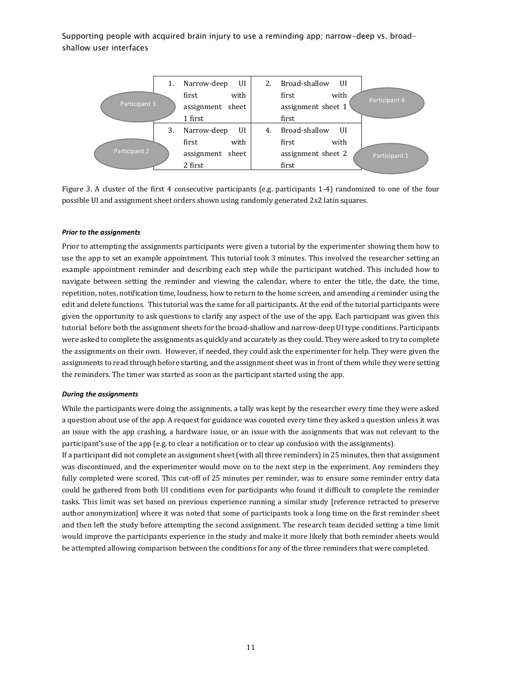

Figure 3. A cluster of the first 4 consecutive participants (e.g. participants 1-4) randomized to one of the four possible UI and assignment sheet orders shown using randomly generated 2x2 latin squares.

### *Prior to the assignments*

Prior to attempting the assignments participants were given a tutorial by the experimenter showing them how to use the app to set an example appointment. This tutorial took 3 minutes. This involved the researcher setting an example appointment reminder and describing each step while the participant watched. This included how to navigate between setting the reminder and viewing the calendar, where to enter the title, the date, the time, repetition, notes, notification time, loudness, how to return to the home screen, and amending a reminder using the edit and delete functions. This tutorial was the same for all participants. At the end of the tutorial participants were given the opportunity to ask questions to clarify any aspect of the use of the app. Each participant was given this tutorial before both the assignment sheets for the broad-shallow and narrow-deep UI type conditions. Participants were asked to complete the assignments as quickly and accurately as they could. They were asked to try to complete the assignments on their own. However, if needed, they could ask the experimenter for help. They were given the assignments to read through before starting, and the assignment sheet was in front of them while they were setting the reminders. The timer was started as soon as the participant started using the app.

#### *During the assignments*

While the participants were doing the assignments, a tally was kept by the researcher every time they were asked a question about use of the app. A request for guidance was counted every time they asked a question unless it was an issue with the app crashing, a hardware issue, or an issue with the assignments that was not relevant to the participant's use of the app (e.g. to clear a notification or to clear up confusion with the assignments).

If a participant did not complete an assignment sheet (with all three reminders) in 25 minutes, then that assignment was discontinued, and the experimenter would move on to the next step in the experiment. Any reminders they fully completed were scored. This cut-off of 25 minutes per reminder, was to ensure some reminder entry data could be gathered from both UI conditions even for participants who found it difficult to complete the reminder tasks. This limit was set based on previous experience running a similar study [reference retracted to preserve author anonymization] where it was noted that some of participants took a long time on the first reminder sheet and then left the study before attempting the second assignment. The research team decided setting a time limit would improve the participants experience in the study and make it more likely that both reminder sheets would be attempted allowing comparison between the conditions for any of the three reminders that were completed.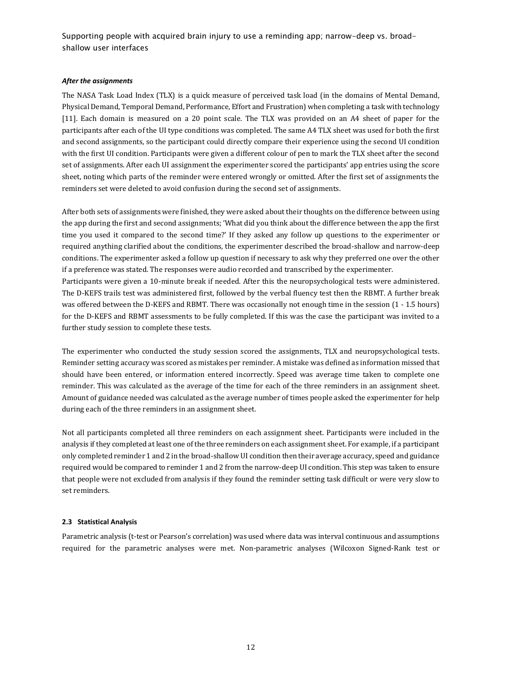## *After the assignments*

The NASA Task Load Index (TLX) is a quick measure of perceived task load (in the domains of Mental Demand, Physical Demand, Temporal Demand, Performance, Effort and Frustration) when completing a task with technology [11]. Each domain is measured on a 20 point scale. The TLX was provided on an A4 sheet of paper for the participants after each of the UI type conditions was completed. The same A4 TLX sheet was used for both the first and second assignments, so the participant could directly compare their experience using the second UI condition with the first UI condition. Participants were given a different colour of pen to mark the TLX sheet after the second set of assignments. After each UI assignment the experimenter scored the participants' app entries using the score sheet, noting which parts of the reminder were entered wrongly or omitted. After the first set of assignments the reminders set were deleted to avoid confusion during the second set of assignments.

After both sets of assignments were finished, they were asked about their thoughts on the difference between using the app during the first and second assignments; 'What did you think about the difference between the app the first time you used it compared to the second time?' If they asked any follow up questions to the experimenter or required anything clarified about the conditions, the experimenter described the broad-shallow and narrow-deep conditions. The experimenter asked a follow up question if necessary to ask why they preferred one over the other if a preference was stated. The responses were audio recorded and transcribed by the experimenter.

Participants were given a 10-minute break if needed. After this the neuropsychological tests were administered. The D-KEFS trails test was administered first, followed by the verbal fluency test then the RBMT. A further break was offered between the D-KEFS and RBMT. There was occasionally not enough time in the session (1 - 1.5 hours) for the D-KEFS and RBMT assessments to be fully completed. If this was the case the participant was invited to a further study session to complete these tests.

The experimenter who conducted the study session scored the assignments, TLX and neuropsychological tests. Reminder setting accuracy was scored as mistakes per reminder. A mistake was defined as information missed that should have been entered, or information entered incorrectly. Speed was average time taken to complete one reminder. This was calculated as the average of the time for each of the three reminders in an assignment sheet. Amount of guidance needed was calculated as the average number of times people asked the experimenter for help during each of the three reminders in an assignment sheet.

Not all participants completed all three reminders on each assignment sheet. Participants were included in the analysis if they completed at least one of the three reminders on each assignment sheet. For example, if a participant only completed reminder 1 and 2 in the broad-shallow UI condition then their average accuracy, speed and guidance required would be compared to reminder 1 and 2 from the narrow-deep UI condition. This step was taken to ensure that people were not excluded from analysis if they found the reminder setting task difficult or were very slow to set reminders.

## **2.3 Statistical Analysis**

Parametric analysis (t-test or Pearson's correlation) was used where data was interval continuous and assumptions required for the parametric analyses were met. Non-parametric analyses (Wilcoxon Signed-Rank test or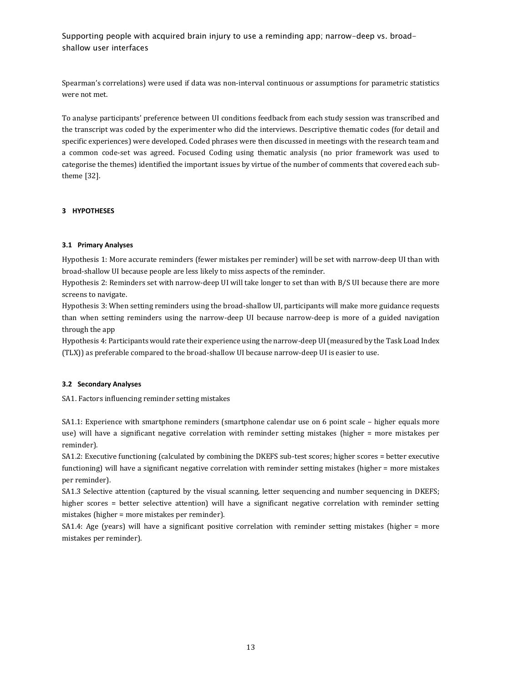Spearman's correlations) were used if data was non-interval continuous or assumptions for parametric statistics were not met.

To analyse participants' preference between UI conditions feedback from each study session was transcribed and the transcript was coded by the experimenter who did the interviews. Descriptive thematic codes (for detail and specific experiences) were developed. Coded phrases were then discussed in meetings with the research team and a common code-set was agreed. Focused Coding using thematic analysis (no prior framework was used to categorise the themes) identified the important issues by virtue of the number of comments that covered each subtheme [32].

## **3 HYPOTHESES**

## **3.1 Primary Analyses**

Hypothesis 1: More accurate reminders (fewer mistakes per reminder) will be set with narrow-deep UI than with broad-shallow UI because people are less likely to miss aspects of the reminder.

Hypothesis 2: Reminders set with narrow-deep UI will take longer to set than with B/S UI because there are more screens to navigate.

Hypothesis 3: When setting reminders using the broad-shallow UI, participants will make more guidance requests than when setting reminders using the narrow-deep UI because narrow-deep is more of a guided navigation through the app

Hypothesis 4: Participants would rate their experience using the narrow-deep UI (measured by the Task Load Index (TLX)) as preferable compared to the broad-shallow UI because narrow-deep UI is easier to use.

## **3.2 Secondary Analyses**

SA1. Factors influencing reminder setting mistakes

SA1.1: Experience with smartphone reminders (smartphone calendar use on 6 point scale – higher equals more use) will have a significant negative correlation with reminder setting mistakes (higher = more mistakes per reminder).

SA1.2: Executive functioning (calculated by combining the DKEFS sub-test scores; higher scores = better executive functioning) will have a significant negative correlation with reminder setting mistakes (higher = more mistakes per reminder).

SA1.3 Selective attention (captured by the visual scanning, letter sequencing and number sequencing in DKEFS; higher scores = better selective attention) will have a significant negative correlation with reminder setting mistakes (higher = more mistakes per reminder).

SA1.4: Age (years) will have a significant positive correlation with reminder setting mistakes (higher = more mistakes per reminder).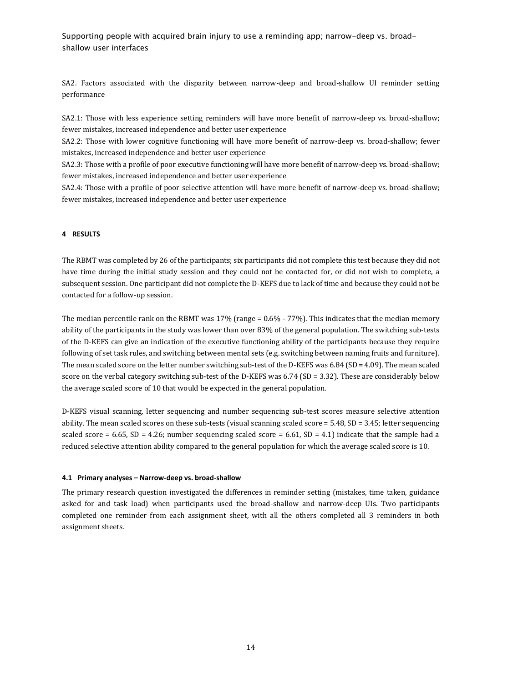SA2. Factors associated with the disparity between narrow-deep and broad-shallow UI reminder setting performance

SA2.1: Those with less experience setting reminders will have more benefit of narrow-deep vs. broad-shallow; fewer mistakes, increased independence and better user experience

SA2.2: Those with lower cognitive functioning will have more benefit of narrow-deep vs. broad-shallow; fewer mistakes, increased independence and better user experience

SA2.3: Those with a profile of poor executive functioning will have more benefit of narrow-deep vs. broad-shallow; fewer mistakes, increased independence and better user experience

SA2.4: Those with a profile of poor selective attention will have more benefit of narrow-deep vs. broad-shallow; fewer mistakes, increased independence and better user experience

### **4 RESULTS**

The RBMT was completed by 26 of the participants; six participants did not complete this test because they did not have time during the initial study session and they could not be contacted for, or did not wish to complete, a subsequent session. One participant did not complete the D-KEFS due to lack of time and because they could not be contacted for a follow-up session.

The median percentile rank on the RBMT was 17% (range = 0.6% - 77%). This indicates that the median memory ability of the participants in the study was lower than over 83% of the general population. The switching sub-tests of the D-KEFS can give an indication of the executive functioning ability of the participants because they require following of set task rules, and switching between mental sets (e.g. switching between naming fruits and furniture). The mean scaled score on the letter number switching sub-test of the D-KEFS was 6.84 (SD = 4.09). The mean scaled score on the verbal category switching sub-test of the D-KEFS was 6.74 (SD = 3.32). These are considerably below the average scaled score of 10 that would be expected in the general population.

D-KEFS visual scanning, letter sequencing and number sequencing sub-test scores measure selective attention ability. The mean scaled scores on these sub-tests (visual scanning scaled score = 5.48, SD = 3.45; letter sequencing scaled score = 6.65, SD = 4.26; number sequencing scaled score = 6.61, SD = 4.1) indicate that the sample had a reduced selective attention ability compared to the general population for which the average scaled score is 10.

#### **4.1 Primary analyses – Narrow-deep vs. broad-shallow**

The primary research question investigated the differences in reminder setting (mistakes, time taken, guidance asked for and task load) when participants used the broad-shallow and narrow-deep UIs. Two participants completed one reminder from each assignment sheet, with all the others completed all 3 reminders in both assignment sheets.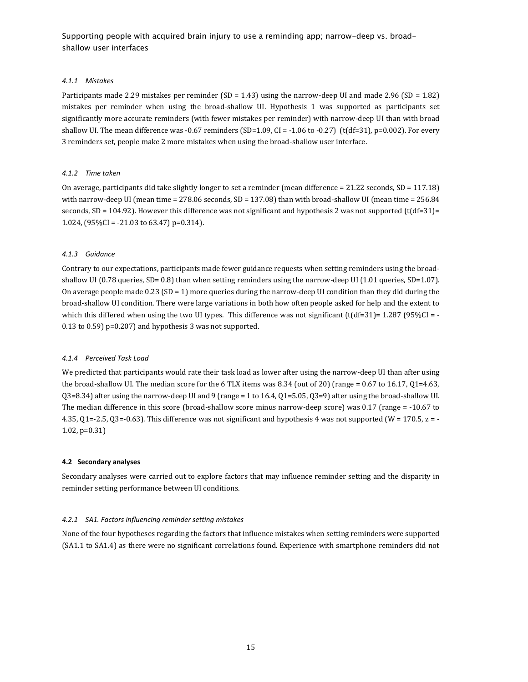## *4.1.1 Mistakes*

Participants made 2.29 mistakes per reminder (SD = 1.43) using the narrow-deep UI and made 2.96 (SD = 1.82) mistakes per reminder when using the broad-shallow UI. Hypothesis 1 was supported as participants set significantly more accurate reminders (with fewer mistakes per reminder) with narrow-deep UI than with broad shallow UI. The mean difference was -0.67 reminders (SD=1.09, CI = -1.06 to -0.27) (t(df=31), p=0.002). For every 3 reminders set, people make 2 more mistakes when using the broad-shallow user interface.

### *4.1.2 Time taken*

On average, participants did take slightly longer to set a reminder (mean difference = 21.22 seconds, SD = 117.18) with narrow-deep UI (mean time = 278.06 seconds, SD = 137.08) than with broad-shallow UI (mean time = 256.84 seconds, SD = 104.92). However this difference was not significant and hypothesis 2 was not supported (t $(df=31)=$ 1.024, (95%CI = -21.03 to 63.47) p=0.314).

### *4.1.3 Guidance*

Contrary to our expectations, participants made fewer guidance requests when setting reminders using the broadshallow UI (0.78 queries, SD= 0.8) than when setting reminders using the narrow-deep UI (1.01 queries, SD=1.07). On average people made 0.23 (SD = 1) more queries during the narrow-deep UI condition than they did during the broad-shallow UI condition. There were large variations in both how often people asked for help and the extent to which this differed when using the two UI types. This difference was not significant (t(df=31)= 1.287 (95%CI = -0.13 to 0.59) p=0.207) and hypothesis 3 was not supported.

### *4.1.4 Perceived Task Load*

We predicted that participants would rate their task load as lower after using the narrow-deep UI than after using the broad-shallow UI. The median score for the 6 TLX items was 8.34 (out of 20) (range = 0.67 to 16.17, Q1=4.63, Q3=8.34) after using the narrow-deep UI and 9 (range = 1 to 16.4, Q1=5.05, Q3=9) after using the broad-shallow UI. The median difference in this score (broad-shallow score minus narrow-deep score) was 0.17 (range = -10.67 to 4.35, Q1=-2.5, Q3=-0.63). This difference was not significant and hypothesis 4 was not supported (W = 170.5, z = - 1.02, p=0.31)

### **4.2 Secondary analyses**

Secondary analyses were carried out to explore factors that may influence reminder setting and the disparity in reminder setting performance between UI conditions.

### *4.2.1 SA1. Factors influencing reminder setting mistakes*

None of the four hypotheses regarding the factors that influence mistakes when setting reminders were supported (SA1.1 to SA1.4) as there were no significant correlations found. Experience with smartphone reminders did not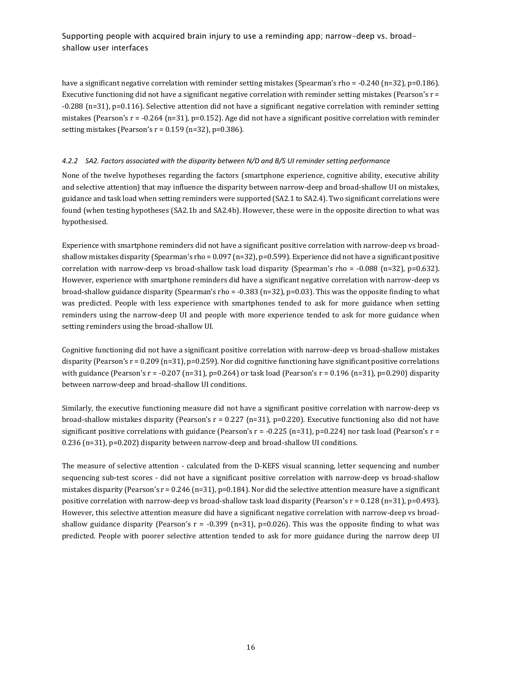have a significant negative correlation with reminder setting mistakes (Spearman's rho = -0.240 (n=32), p=0.186). Executive functioning did not have a significant negative correlation with reminder setting mistakes (Pearson's r = -0.288 (n=31), p=0.116). Selective attention did not have a significant negative correlation with reminder setting mistakes (Pearson's  $r = -0.264$  (n=31), p=0.152). Age did not have a significant positive correlation with reminder setting mistakes (Pearson's  $r = 0.159$  (n=32), p=0.386).

## *4.2.2 SA2. Factors associated with the disparity between N/D and B/S UI reminder setting performance*

None of the twelve hypotheses regarding the factors (smartphone experience, cognitive ability, executive ability and selective attention) that may influence the disparity between narrow-deep and broad-shallow UI on mistakes, guidance and task load when setting reminders were supported (SA2.1 to SA2.4). Two significant correlations were found (when testing hypotheses (SA2.1b and SA2.4b). However, these were in the opposite direction to what was hypothesised.

Experience with smartphone reminders did not have a significant positive correlation with narrow-deep vs broadshallow mistakes disparity (Spearman's rho =  $0.097$  (n=32), p=0.599). Experience did not have a significant positive correlation with narrow-deep vs broad-shallow task load disparity (Spearman's rho = -0.088 (n=32), p=0.632). However, experience with smartphone reminders did have a significant negative correlation with narrow-deep vs broad-shallow guidance disparity (Spearman's rho =  $-0.383$  (n=32), p=0.03). This was the opposite finding to what was predicted. People with less experience with smartphones tended to ask for more guidance when setting reminders using the narrow-deep UI and people with more experience tended to ask for more guidance when setting reminders using the broad-shallow UI.

Cognitive functioning did not have a significant positive correlation with narrow-deep vs broad-shallow mistakes disparity (Pearson's  $r = 0.209$  (n=31), p=0.259). Nor did cognitive functioning have significant positive correlations with guidance (Pearson's  $r = -0.207$  (n=31), p=0.264) or task load (Pearson's  $r = 0.196$  (n=31), p=0.290) disparity between narrow-deep and broad-shallow UI conditions.

Similarly, the executive functioning measure did not have a significant positive correlation with narrow-deep vs broad-shallow mistakes disparity (Pearson's  $r = 0.227$  (n=31), p=0.220). Executive functioning also did not have significant positive correlations with guidance (Pearson's  $r = -0.225$  (n=31), p=0.224) nor task load (Pearson's  $r =$ 0.236 (n=31), p=0.202) disparity between narrow-deep and broad-shallow UI conditions.

The measure of selective attention - calculated from the D-KEFS visual scanning, letter sequencing and number sequencing sub-test scores - did not have a significant positive correlation with narrow-deep vs broad-shallow mistakes disparity (Pearson's  $r = 0.246$  (n=31), p=0.184). Nor did the selective attention measure have a significant positive correlation with narrow-deep vs broad-shallow task load disparity (Pearson's r = 0.128 (n=31), p=0.493). However, this selective attention measure did have a significant negative correlation with narrow-deep vs broadshallow guidance disparity (Pearson's  $r = -0.399$  (n=31), p=0.026). This was the opposite finding to what was predicted. People with poorer selective attention tended to ask for more guidance during the narrow deep UI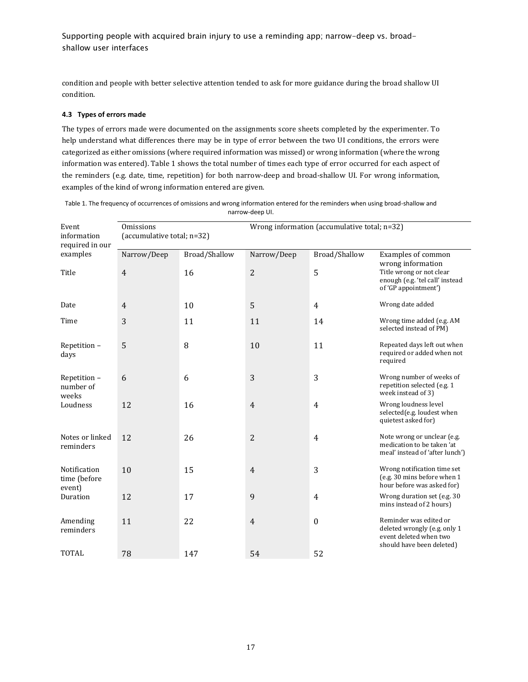condition and people with better selective attention tended to ask for more guidance during the broad shallow UI condition.

## **4.3 Types of errors made**

The types of errors made were documented on the assignments score sheets completed by the experimenter. To help understand what differences there may be in type of error between the two UI conditions, the errors were categorized as either omissions (where required information was missed) or wrong information (where the wrong information was entered). Table 1 shows the total number of times each type of error occurred for each aspect of the reminders (e.g. date, time, repetition) for both narrow-deep and broad-shallow UI. For wrong information, examples of the kind of wrong information entered are given.

| Event<br>information<br>required in our<br>examples | Omissions<br>(accumulative total; n=32) |               | Wrong information (accumulative total; n=32) |                      |                                                                                                               |
|-----------------------------------------------------|-----------------------------------------|---------------|----------------------------------------------|----------------------|---------------------------------------------------------------------------------------------------------------|
|                                                     | Narrow/Deep                             | Broad/Shallow | Narrow/Deep                                  | <b>Broad/Shallow</b> | Examples of common<br>wrong information                                                                       |
| Title                                               | $\overline{4}$                          | 16            | $\overline{2}$                               | 5                    | Title wrong or not clear<br>enough (e.g. 'tel call' instead<br>of 'GP appointment')                           |
| Date                                                | 4                                       | 10            | 5                                            | 4                    | Wrong date added                                                                                              |
| Time                                                | 3                                       | 11            | 11                                           | 14                   | Wrong time added (e.g. AM<br>selected instead of PM)                                                          |
| Repetition-<br>days                                 | 5                                       | 8             | 10                                           | 11                   | Repeated days left out when<br>required or added when not<br>required                                         |
| Repetition-<br>number of<br>weeks                   | 6                                       | 6             | 3                                            | 3                    | Wrong number of weeks of<br>repetition selected (e.g. 1<br>week instead of 3)                                 |
| Loudness                                            | 12                                      | 16            | $\overline{4}$                               | $\overline{4}$       | Wrong loudness level<br>selected(e.g. loudest when<br>quietest asked for)                                     |
| Notes or linked<br>reminders                        | 12                                      | 26            | 2                                            | $\overline{4}$       | Note wrong or unclear (e.g.<br>medication to be taken 'at<br>meal' instead of 'after lunch')                  |
| Notification<br>time (before<br>event)              | 10                                      | 15            | $\overline{4}$                               | 3                    | Wrong notification time set<br>(e.g. 30 mins before when 1<br>hour before was asked for)                      |
| Duration                                            | 12                                      | 17            | 9                                            | 4                    | Wrong duration set (e.g. 30)<br>mins instead of 2 hours)                                                      |
| Amending<br>reminders                               | 11                                      | 22            | $\overline{4}$                               | $\boldsymbol{0}$     | Reminder was edited or<br>deleted wrongly (e.g. only 1<br>event deleted when two<br>should have been deleted) |
| <b>TOTAL</b>                                        | 78                                      | 147           | 54                                           | 52                   |                                                                                                               |

Table 1. The frequency of occurrences of omissions and wrong information entered for the reminders when using broad-shallow and narrow-deep UI.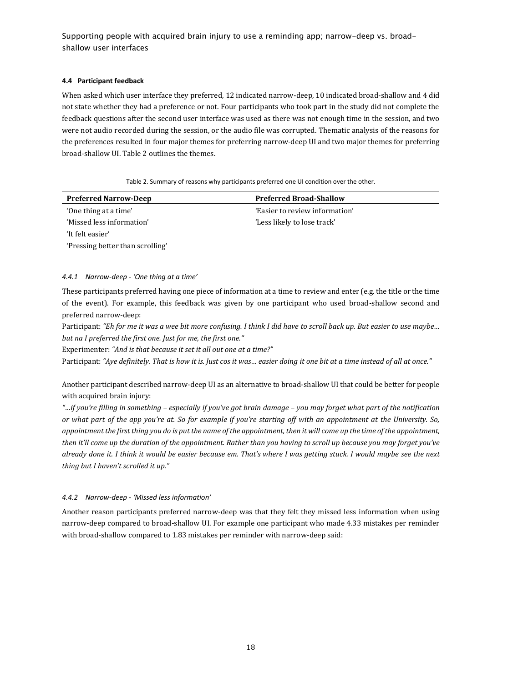## **4.4 Participant feedback**

When asked which user interface they preferred, 12 indicated narrow-deep, 10 indicated broad-shallow and 4 did not state whether they had a preference or not. Four participants who took part in the study did not complete the feedback questions after the second user interface was used as there was not enough time in the session, and two were not audio recorded during the session, or the audio file was corrupted. Thematic analysis of the reasons for the preferences resulted in four major themes for preferring narrow-deep UI and two major themes for preferring broad-shallow UI. Table 2 outlines the themes.

Table 2. Summary of reasons why participants preferred one UI condition over the other.

| <b>Preferred Narrow-Deep</b>     | <b>Preferred Broad-Shallow</b> |
|----------------------------------|--------------------------------|
| 'One thing at a time'            | 'Easier to review information' |
| 'Missed less information'        | 'Less likely to lose track'    |
| 'It felt easier'                 |                                |
| 'Pressing better than scrolling' |                                |

## *4.4.1 Narrow-deep - 'One thing at a time'*

These participants preferred having one piece of information at a time to review and enter (e.g. the title or the time of the event). For example, this feedback was given by one participant who used broad-shallow second and preferred narrow-deep:

Participant: *"Eh for me it was a wee bit more confusing. I think I did have to scroll back up. But easier to use maybe… but na I preferred the first one. Just for me, the first one."*

Experimenter: *"And is that because it set it all out one at a time?"*

Participant: *"Aye definitely. That is how it is. Just cos it was… easier doing it one bit at a time instead of all at once."*

Another participant described narrow-deep UI as an alternative to broad-shallow UI that could be better for people with acquired brain injury:

*"…if you're filling in something – especially if you've got brain damage – you may forget what part of the notification or what part of the app you're at. So for example if you're starting off with an appointment at the University. So, appointment the first thing you do is put the name of the appointment, then it will come up the time of the appointment, then it'll come up the duration of the appointment. Rather than you having to scroll up because you may forget you've already done it. I think it would be easier because em. That's where I was getting stuck. I would maybe see the next thing but I haven't scrolled it up."*

## *4.4.2 Narrow-deep - 'Missed less information'*

Another reason participants preferred narrow-deep was that they felt they missed less information when using narrow-deep compared to broad-shallow UI. For example one participant who made 4.33 mistakes per reminder with broad-shallow compared to 1.83 mistakes per reminder with narrow-deep said: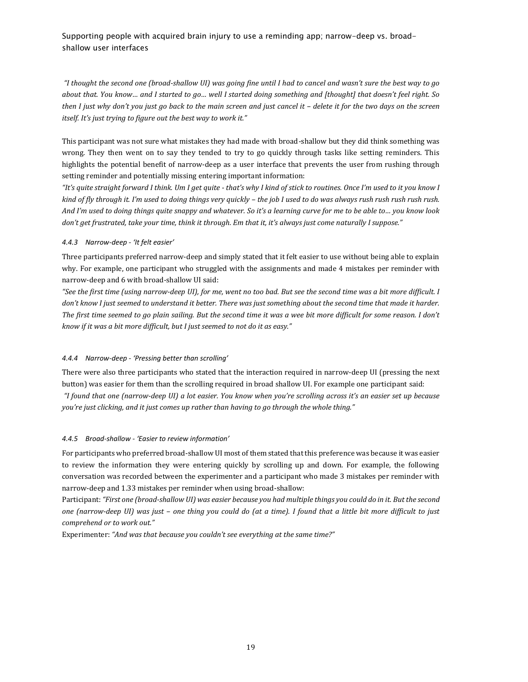*"I thought the second one (broad-shallow UI) was going fine until I had to cancel and wasn't sure the best way to go about that. You know… and I started to go… well I started doing something and [thought] that doesn't feel right. So then I just why don't you just go back to the main screen and just cancel it – delete it for the two days on the screen itself. It's just trying to figure out the best way to work it."* 

This participant was not sure what mistakes they had made with broad-shallow but they did think something was wrong. They then went on to say they tended to try to go quickly through tasks like setting reminders. This highlights the potential benefit of narrow-deep as a user interface that prevents the user from rushing through setting reminder and potentially missing entering important information:

*"It's quite straight forward I think. Um I get quite - that's why I kind of stick to routines. Once I'm used to it you know I kind of fly through it. I'm used to doing things very quickly – the job I used to do was always rush rush rush rush rush. And I'm used to doing things quite snappy and whatever. So it's a learning curve for me to be able to… you know look don't get frustrated, take your time, think it through. Em that it, it's always just come naturally I suppose."*

## *4.4.3 Narrow-deep - 'It felt easier'*

Three participants preferred narrow-deep and simply stated that it felt easier to use without being able to explain why. For example, one participant who struggled with the assignments and made 4 mistakes per reminder with narrow-deep and 6 with broad-shallow UI said:

*"See the first time (using narrow-deep UI), for me, went no too bad. But see the second time was a bit more difficult. I don't know I just seemed to understand it better. There was just something about the second time that made it harder. The first time seemed to go plain sailing. But the second time it was a wee bit more difficult for some reason. I don't know if it was a bit more difficult, but I just seemed to not do it as easy."*

## *4.4.4 Narrow-deep - 'Pressing better than scrolling'*

There were also three participants who stated that the interaction required in narrow-deep UI (pressing the next button) was easier for them than the scrolling required in broad shallow UI. For example one participant said: *"I found that one (narrow-deep UI) a lot easier. You know when you're scrolling across it's an easier set up because you're just clicking, and it just comes up rather than having to go through the whole thing."*

## *4.4.5 Broad-shallow - 'Easier to review information'*

For participants who preferred broad-shallow UI most of them stated that this preference was because it was easier to review the information they were entering quickly by scrolling up and down. For example, the following conversation was recorded between the experimenter and a participant who made 3 mistakes per reminder with narrow-deep and 1.33 mistakes per reminder when using broad-shallow:

Participant: *"First one (broad-shallow UI) was easier because you had multiple things you could do in it. But the second one (narrow-deep UI) was just – one thing you could do (at a time). I found that a little bit more difficult to just comprehend or to work out."*

Experimenter: *"And was that because you couldn't see everything at the same time?"*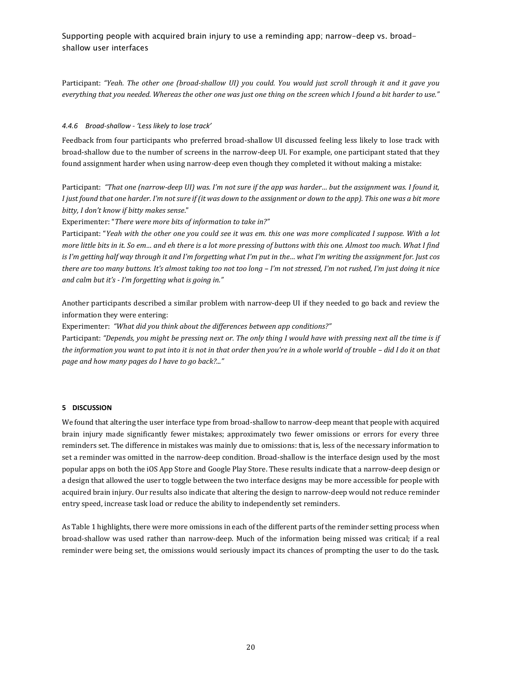Participant: *"Yeah. The other one (broad-shallow UI) you could. You would just scroll through it and it gave you everything that you needed. Whereas the other one was just one thing on the screen which I found a bit harder to use."* 

### *4.4.6 Broad-shallow - 'Less likely to lose track'*

Feedback from four participants who preferred broad-shallow UI discussed feeling less likely to lose track with broad-shallow due to the number of screens in the narrow-deep UI. For example, one participant stated that they found assignment harder when using narrow-deep even though they completed it without making a mistake:

Participant: *"That one (narrow-deep UI) was. I'm not sure if the app was harder… but the assignment was. I found it, I just found that one harder. I'm not sure if (it was down to the assignment or down to the app). This one was a bit more bitty, I don't know if bitty makes sense*."

Experimenter: "*There were more bits of information to take in?"*

Participant: "*Yeah with the other one you could see it was em. this one was more complicated I suppose. With a lot more little bits in it. So em… and eh there is a lot more pressing of buttons with this one. Almost too much. What I find is I'm getting half way through it and I'm forgetting what I'm put in the… what I'm writing the assignment for. Just cos there are too many buttons. It's almost taking too not too long – I'm not stressed, I'm not rushed, I'm just doing it nice and calm but it's - I'm forgetting what is going in."*

Another participants described a similar problem with narrow-deep UI if they needed to go back and review the information they were entering:

Experimenter: *"What did you think about the differences between app conditions?"*

Participant: "Depends, you might be pressing next or. The only thing I would have with pressing next all the time is if *the information you want to put into it is not in that order then you're in a whole world of trouble – did I do it on that page and how many pages do I have to go back?..."*

### **5 DISCUSSION**

We found that altering the user interface type from broad-shallow to narrow-deep meant that people with acquired brain injury made significantly fewer mistakes; approximately two fewer omissions or errors for every three reminders set. The difference in mistakes was mainly due to omissions: that is, less of the necessary information to set a reminder was omitted in the narrow-deep condition. Broad-shallow is the interface design used by the most popular apps on both the iOS App Store and Google Play Store. These results indicate that a narrow-deep design or a design that allowed the user to toggle between the two interface designs may be more accessible for people with acquired brain injury. Our results also indicate that altering the design to narrow-deep would not reduce reminder entry speed, increase task load or reduce the ability to independently set reminders.

As Table 1 highlights, there were more omissions in each of the different parts of the reminder setting process when broad-shallow was used rather than narrow-deep. Much of the information being missed was critical; if a real reminder were being set, the omissions would seriously impact its chances of prompting the user to do the task.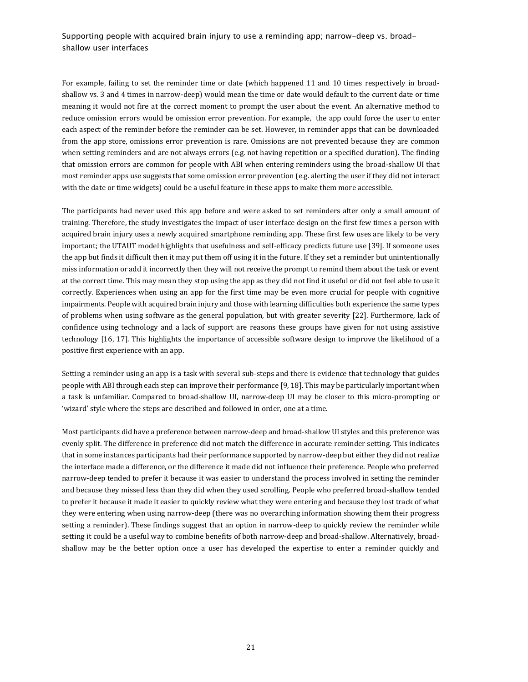For example, failing to set the reminder time or date (which happened 11 and 10 times respectively in broadshallow vs. 3 and 4 times in narrow-deep) would mean the time or date would default to the current date or time meaning it would not fire at the correct moment to prompt the user about the event. An alternative method to reduce omission errors would be omission error prevention. For example, the app could force the user to enter each aspect of the reminder before the reminder can be set. However, in reminder apps that can be downloaded from the app store, omissions error prevention is rare. Omissions are not prevented because they are common when setting reminders and are not always errors (e.g. not having repetition or a specified duration). The finding that omission errors are common for people with ABI when entering reminders using the broad-shallow UI that most reminder apps use suggests that some omission error prevention (e.g. alerting the user if they did not interact with the date or time widgets) could be a useful feature in these apps to make them more accessible.

The participants had never used this app before and were asked to set reminders after only a small amount of training. Therefore, the study investigates the impact of user interface design on the first few times a person with acquired brain injury uses a newly acquired smartphone reminding app. These first few uses are likely to be very important; the UTAUT model highlights that usefulness and self-efficacy predicts future use [39]. If someone uses the app but finds it difficult then it may put them off using it in the future. If they set a reminder but unintentionally miss information or add it incorrectly then they will not receive the prompt to remind them about the task or event at the correct time. This may mean they stop using the app as they did not find it useful or did not feel able to use it correctly. Experiences when using an app for the first time may be even more crucial for people with cognitive impairments. People with acquired brain injury and those with learning difficulties both experience the same types of problems when using software as the general population, but with greater severity [22]. Furthermore, lack of confidence using technology and a lack of support are reasons these groups have given for not using assistive technology [16, 17]. This highlights the importance of accessible software design to improve the likelihood of a positive first experience with an app.

Setting a reminder using an app is a task with several sub-steps and there is evidence that technology that guides people with ABI through each step can improve their performance [9, 18]. This may be particularly important when a task is unfamiliar. Compared to broad-shallow UI, narrow-deep UI may be closer to this micro-prompting or 'wizard' style where the steps are described and followed in order, one at a time.

Most participants did have a preference between narrow-deep and broad-shallow UI styles and this preference was evenly split. The difference in preference did not match the difference in accurate reminder setting. This indicates that in some instances participants had their performance supported by narrow-deep but either they did not realize the interface made a difference, or the difference it made did not influence their preference. People who preferred narrow-deep tended to prefer it because it was easier to understand the process involved in setting the reminder and because they missed less than they did when they used scrolling. People who preferred broad-shallow tended to prefer it because it made it easier to quickly review what they were entering and because they lost track of what they were entering when using narrow-deep (there was no overarching information showing them their progress setting a reminder). These findings suggest that an option in narrow-deep to quickly review the reminder while setting it could be a useful way to combine benefits of both narrow-deep and broad-shallow. Alternatively, broadshallow may be the better option once a user has developed the expertise to enter a reminder quickly and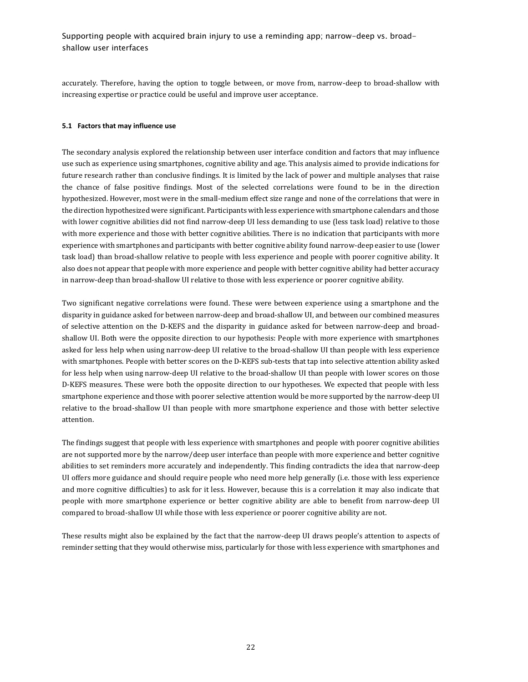accurately. Therefore, having the option to toggle between, or move from, narrow-deep to broad-shallow with increasing expertise or practice could be useful and improve user acceptance.

## **5.1 Factors that may influence use**

The secondary analysis explored the relationship between user interface condition and factors that may influence use such as experience using smartphones, cognitive ability and age. This analysis aimed to provide indications for future research rather than conclusive findings. It is limited by the lack of power and multiple analyses that raise the chance of false positive findings. Most of the selected correlations were found to be in the direction hypothesized. However, most were in the small-medium effect size range and none of the correlations that were in the direction hypothesized were significant. Participants with less experience with smartphone calendars and those with lower cognitive abilities did not find narrow-deep UI less demanding to use (less task load) relative to those with more experience and those with better cognitive abilities. There is no indication that participants with more experience with smartphones and participants with better cognitive ability found narrow-deep easier to use (lower task load) than broad-shallow relative to people with less experience and people with poorer cognitive ability. It also does not appear that people with more experience and people with better cognitive ability had better accuracy in narrow-deep than broad-shallow UI relative to those with less experience or poorer cognitive ability.

Two significant negative correlations were found. These were between experience using a smartphone and the disparity in guidance asked for between narrow-deep and broad-shallow UI, and between our combined measures of selective attention on the D-KEFS and the disparity in guidance asked for between narrow-deep and broadshallow UI. Both were the opposite direction to our hypothesis: People with more experience with smartphones asked for less help when using narrow-deep UI relative to the broad-shallow UI than people with less experience with smartphones. People with better scores on the D-KEFS sub-tests that tap into selective attention ability asked for less help when using narrow-deep UI relative to the broad-shallow UI than people with lower scores on those D-KEFS measures. These were both the opposite direction to our hypotheses. We expected that people with less smartphone experience and those with poorer selective attention would be more supported by the narrow-deep UI relative to the broad-shallow UI than people with more smartphone experience and those with better selective attention.

The findings suggest that people with less experience with smartphones and people with poorer cognitive abilities are not supported more by the narrow/deep user interface than people with more experience and better cognitive abilities to set reminders more accurately and independently. This finding contradicts the idea that narrow-deep UI offers more guidance and should require people who need more help generally (i.e. those with less experience and more cognitive difficulties) to ask for it less. However, because this is a correlation it may also indicate that people with more smartphone experience or better cognitive ability are able to benefit from narrow-deep UI compared to broad-shallow UI while those with less experience or poorer cognitive ability are not.

These results might also be explained by the fact that the narrow-deep UI draws people's attention to aspects of reminder setting that they would otherwise miss, particularly for those with less experience with smartphones and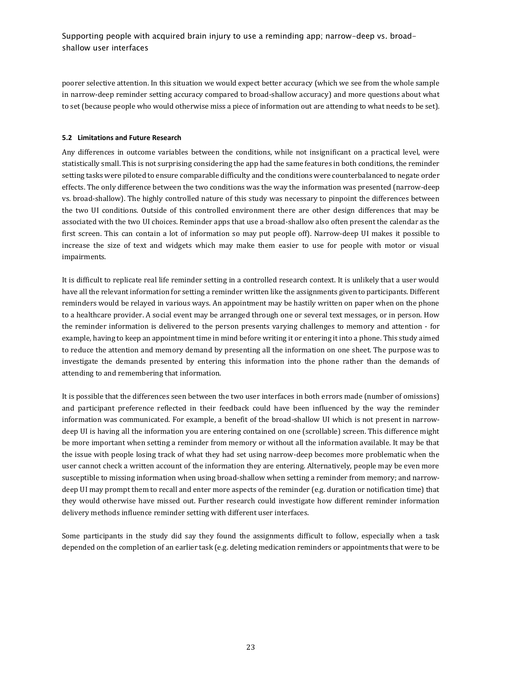poorer selective attention. In this situation we would expect better accuracy (which we see from the whole sample in narrow-deep reminder setting accuracy compared to broad-shallow accuracy) and more questions about what to set (because people who would otherwise miss a piece of information out are attending to what needs to be set).

### **5.2 Limitations and Future Research**

Any differences in outcome variables between the conditions, while not insignificant on a practical level, were statistically small. This is not surprising considering the app had the same features in both conditions, the reminder setting tasks were piloted to ensure comparable difficulty and the conditions were counterbalanced to negate order effects. The only difference between the two conditions was the way the information was presented (narrow-deep vs. broad-shallow). The highly controlled nature of this study was necessary to pinpoint the differences between the two UI conditions. Outside of this controlled environment there are other design differences that may be associated with the two UI choices. Reminder apps that use a broad-shallow also often present the calendar as the first screen. This can contain a lot of information so may put people off). Narrow-deep UI makes it possible to increase the size of text and widgets which may make them easier to use for people with motor or visual impairments.

It is difficult to replicate real life reminder setting in a controlled research context. It is unlikely that a user would have all the relevant information for setting a reminder written like the assignments given to participants. Different reminders would be relayed in various ways. An appointment may be hastily written on paper when on the phone to a healthcare provider. A social event may be arranged through one or several text messages, or in person. How the reminder information is delivered to the person presents varying challenges to memory and attention - for example, having to keep an appointment time in mind before writing it or entering it into a phone. This study aimed to reduce the attention and memory demand by presenting all the information on one sheet. The purpose was to investigate the demands presented by entering this information into the phone rather than the demands of attending to and remembering that information.

It is possible that the differences seen between the two user interfaces in both errors made (number of omissions) and participant preference reflected in their feedback could have been influenced by the way the reminder information was communicated. For example, a benefit of the broad-shallow UI which is not present in narrowdeep UI is having all the information you are entering contained on one (scrollable) screen. This difference might be more important when setting a reminder from memory or without all the information available. It may be that the issue with people losing track of what they had set using narrow-deep becomes more problematic when the user cannot check a written account of the information they are entering. Alternatively, people may be even more susceptible to missing information when using broad-shallow when setting a reminder from memory; and narrowdeep UI may prompt them to recall and enter more aspects of the reminder (e.g. duration or notification time) that they would otherwise have missed out. Further research could investigate how different reminder information delivery methods influence reminder setting with different user interfaces.

Some participants in the study did say they found the assignments difficult to follow, especially when a task depended on the completion of an earlier task (e.g. deleting medication reminders or appointments that were to be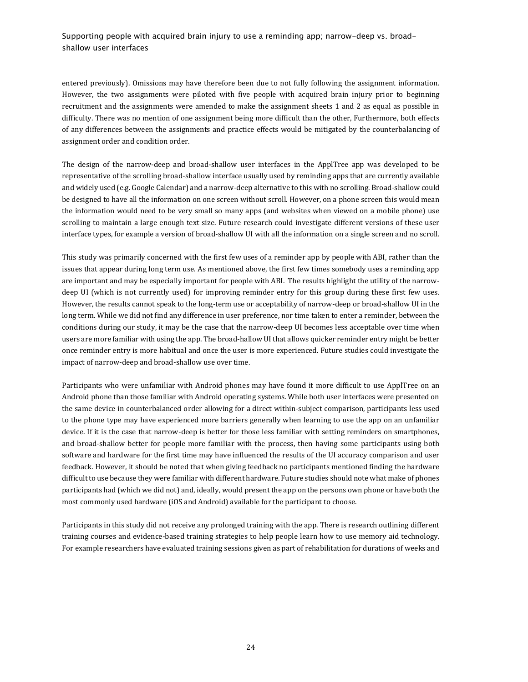entered previously). Omissions may have therefore been due to not fully following the assignment information. However, the two assignments were piloted with five people with acquired brain injury prior to beginning recruitment and the assignments were amended to make the assignment sheets 1 and 2 as equal as possible in difficulty. There was no mention of one assignment being more difficult than the other, Furthermore, both effects of any differences between the assignments and practice effects would be mitigated by the counterbalancing of assignment order and condition order.

The design of the narrow-deep and broad-shallow user interfaces in the ApplTree app was developed to be representative of the scrolling broad-shallow interface usually used by reminding apps that are currently available and widely used (e.g. Google Calendar) and a narrow-deep alternative to this with no scrolling. Broad-shallow could be designed to have all the information on one screen without scroll. However, on a phone screen this would mean the information would need to be very small so many apps (and websites when viewed on a mobile phone) use scrolling to maintain a large enough text size. Future research could investigate different versions of these user interface types, for example a version of broad-shallow UI with all the information on a single screen and no scroll.

This study was primarily concerned with the first few uses of a reminder app by people with ABI, rather than the issues that appear during long term use. As mentioned above, the first few times somebody uses a reminding app are important and may be especially important for people with ABI. The results highlight the utility of the narrowdeep UI (which is not currently used) for improving reminder entry for this group during these first few uses. However, the results cannot speak to the long-term use or acceptability of narrow-deep or broad-shallow UI in the long term. While we did not find any difference in user preference, nor time taken to enter a reminder, between the conditions during our study, it may be the case that the narrow-deep UI becomes less acceptable over time when users are more familiar with using the app. The broad-hallow UI that allows quicker reminder entry might be better once reminder entry is more habitual and once the user is more experienced. Future studies could investigate the impact of narrow-deep and broad-shallow use over time.

Participants who were unfamiliar with Android phones may have found it more difficult to use ApplTree on an Android phone than those familiar with Android operating systems. While both user interfaces were presented on the same device in counterbalanced order allowing for a direct within-subject comparison, participants less used to the phone type may have experienced more barriers generally when learning to use the app on an unfamiliar device. If it is the case that narrow-deep is better for those less familiar with setting reminders on smartphones, and broad-shallow better for people more familiar with the process, then having some participants using both software and hardware for the first time may have influenced the results of the UI accuracy comparison and user feedback. However, it should be noted that when giving feedback no participants mentioned finding the hardware difficult to use because they were familiar with different hardware. Future studies should note what make of phones participants had (which we did not) and, ideally, would present the app on the persons own phone or have both the most commonly used hardware (iOS and Android) available for the participant to choose.

Participants in this study did not receive any prolonged training with the app. There is research outlining different training courses and evidence-based training strategies to help people learn how to use memory aid technology. For example researchers have evaluated training sessions given as part of rehabilitation for durations of weeks and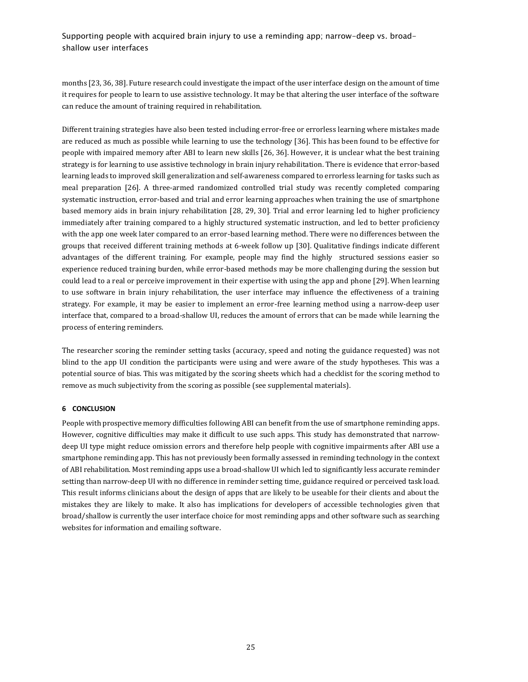months [23, 36, 38]. Future research could investigate the impact of the user interface design on the amount of time it requires for people to learn to use assistive technology. It may be that altering the user interface of the software can reduce the amount of training required in rehabilitation.

Different training strategies have also been tested including error-free or errorless learning where mistakes made are reduced as much as possible while learning to use the technology [36]. This has been found to be effective for people with impaired memory after ABI to learn new skills [26, 36]. However, it is unclear what the best training strategy is for learning to use assistive technology in brain injury rehabilitation. There is evidence that error-based learning leads to improved skill generalization and self-awareness compared to errorless learning for tasks such as meal preparation [26]. A three-armed randomized controlled trial study was recently completed comparing systematic instruction, error-based and trial and error learning approaches when training the use of smartphone based memory aids in brain injury rehabilitation [28, 29, 30]. Trial and error learning led to higher proficiency immediately after training compared to a highly structured systematic instruction, and led to better proficiency with the app one week later compared to an error-based learning method. There were no differences between the groups that received different training methods at 6-week follow up [30]. Qualitative findings indicate different advantages of the different training. For example, people may find the highly structured sessions easier so experience reduced training burden, while error-based methods may be more challenging during the session but could lead to a real or perceive improvement in their expertise with using the app and phone [29]. When learning to use software in brain injury rehabilitation, the user interface may influence the effectiveness of a training strategy. For example, it may be easier to implement an error-free learning method using a narrow-deep user interface that, compared to a broad-shallow UI, reduces the amount of errors that can be made while learning the process of entering reminders.

The researcher scoring the reminder setting tasks (accuracy, speed and noting the guidance requested) was not blind to the app UI condition the participants were using and were aware of the study hypotheses. This was a potential source of bias. This was mitigated by the scoring sheets which had a checklist for the scoring method to remove as much subjectivity from the scoring as possible (see supplemental materials).

## **6 CONCLUSION**

People with prospective memory difficulties following ABI can benefit from the use of smartphone reminding apps. However, cognitive difficulties may make it difficult to use such apps. This study has demonstrated that narrowdeep UI type might reduce omission errors and therefore help people with cognitive impairments after ABI use a smartphone reminding app. This has not previously been formally assessed in reminding technology in the context of ABI rehabilitation. Most reminding apps use a broad-shallow UI which led to significantly less accurate reminder setting than narrow-deep UI with no difference in reminder setting time, guidance required or perceived task load. This result informs clinicians about the design of apps that are likely to be useable for their clients and about the mistakes they are likely to make. It also has implications for developers of accessible technologies given that broad/shallow is currently the user interface choice for most reminding apps and other software such as searching websites for information and emailing software.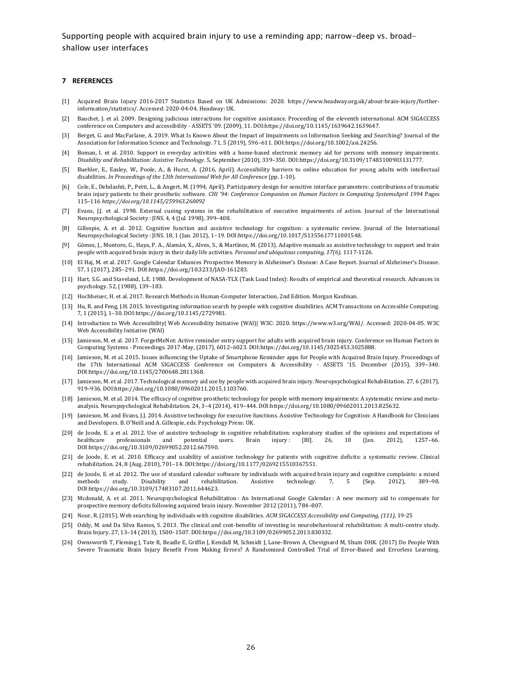#### **7 REFERENCES**

- [1] Acquired Brain Injury 2016-2017 Statistics Based on UK Admissions: 2020. https://www.headway.org.uk/about-brain-injury/furtherinformation/statistics/. Accessed: 2020-04-04. Headway: UK.
- [2] Bauchet, J. et al. 2009. Designing judicious interactions for cognitive assistance. Proceeding of the eleventh international ACM SIGACCESS conference on Computers and accessibility - ASSETS '09. (2009), 11. DOI:https://doi.org/10.1145/1639642.1639647.
- [3] Berget, G. and MacFarlane, A. 2019. What Is Known About the Impact of Impairments on Information Seeking and Searching? Journal of the Association for Information Science and Technology. 71, 5 (2019), 596–611. DOI:https://doi.org/10.1002/asi.24256.
- [4] Boman, I. et al. 2010. Support in everyday activities with a home-based electronic memory aid for persons with memory impairments. *Disability and Rehabilitation: Assistive Technology.* 5, September (2010), 339–350. DOI:https://doi.org/10.3109/17483100903131777.
- [5] Buehler, E., Easley, W., Poole, A., & Hurst, A. (2016, April). Accessibility barriers to online education for young adults with intellectual disabilities. *In Proceedings of the 13th International Web for All Conference* (pp. 1-10).
- [6] Cole, E., Dehdashti, P., Petti, L., & Angert, M. (1994, April). Participatory design for sensitive interface parameters: contributions of traumatic brain injury patients to their prosthetic software. *CHI '94: Conference Companion on Human Factors in Computing SystemsApril 1994* Pages 115*–*116 *https://doi.org/10.1145/259963.260092*
- [7] Evans, J.J. et al. 1998. External cueing systems in the rehabilitation of executive impairments of action. Journal of the International Neuropsychological Society : JINS. 4, 4 (Jul. 1998), 399–408.
- [8] Gillespie, A. et al. 2012. Cognitive function and assistive technology for cognition: a systematic review. Journal of the International Neuropsychological Society : JINS. 18, 1 (Jan. 2012), 1–19. DOI:https://doi.org/10.1017/S1355617711001548.
- [9] Gómez, J., Montoro, G., Haya, P. A., Alamán, X., Alves, S., & Martínez, M. (2013). Adaptive manuals as assistive technology to support and train people with acquired brain injury in their daily life activities. *Personal and ubiquitous computing, 17(6),* 1117-1126.
- [10] El Haj, M. et al. 2017. Google Calendar Enhances Prospective Memory in Alzheimer's Disease: A Case Report. Journal of Alzheimer's Disease. 57, 1 (2017), 285–291. DOI:https://doi.org/10.3233/JAD-161283.
- [11] Hart, S.G. and Staveland, L.E. 1988. Development of NASA-TLX (Task Load Index): Results of empirical and theoretical research. Advances in psychology. 52, (1988), 139–183.
- [12] Hochheiser, H. et al. 2017. Research Methods in Human-Computer Interaction, 2nd Edition. Morgan Kaufman.
- [13] Hu, R. and Feng, J.H. 2015. Investigating information search by people with cognitive disabilities. ACM Transactions on Accessible Computing. 7, 1 (2015), 1–30. DOI:https://doi.org/10.1145/2729981.
- [14] Introduction to Web Accessibility| Web Accessibility Initiative (WAI)| W3C: 2020. https://www.w3.org/WAI/. Accessed: 2020-04-05. W3C Web Accessibility Initiative (WAI)
- [15] Jamieson, M. et al. 2017. ForgetMeNot: Active reminder entry support for adults with acquired brain injury. Conference on Human Factors in Computing Systems - Proceedings. 2017-May, (2017), 6012–6023. DOI:https://doi.org/10.1145/3025453.3025888.
- [16] Jamieson, M. et al. 2015. Issues influencing the Uptake of Smartphone Reminder apps for People with Acquired Brain Injury. Proceedings of the 17th International ACM SIGACCESS Conference on Computers & Accessibility - ASSETS '15. December (2015), 339–340. DOI:https://doi.org/10.1145/2700648.2811368.
- [17] Jamieson, M. et al. 2017. Technological memory aid use by people with acquired brain injury. Neuropsychological Rehabilitation. 27, 6 (2017), 919–936. DOI:https://doi.org/10.1080/09602011.2015.1103760.
- [18] Jamieson, M. et al. 2014. The efficacy of cognitive prosthetic technology for people with memory impairments: A systematic review and metaanalysis. Neuropsychological Rehabilitation. 24, 3–4 (2014), 419–444. DOI:https://doi.org/10.1080/09602011.2013.825632.
- [19] Jamieson, M. and Evans, J.J. 2014. Assistive technology for executive functions. Assistive Technology for Cognition: A Handbook for Clinicians and Developers. B. O'Neill and A. Gillespie, eds. Psychology Press: UK.
- [20] de Joode, E. a et al. 2012. Use of assistive technology in cognitive rehabilitation: exploratory studies of the opinions and expectations of healthcare professionals and potential users. Brain injury : [BI]. 26, 10 (Jan. 2012), 1257–66. DOI:https://doi.org/10.3109/02699052.2012.667590.
- [21] de Joode, E. et al. 2010. Efficacy and usability of assistive technology for patients with cognitive deficits: a systematic review. Clinical rehabilitation. 24, 8 (Aug. 2010), 701–14. DOI:https://doi.org/10.1177/0269215510367551.
- [22] de Joode, E. et al. 2012. The use of standard calendar software by individuals with acquired brain injury and cognitive complaints: a mixed methods study. Disability and rehabilitation. Assistive technology. 7, 5 (Sep methods study. Disability and rehabilitation. Assistive technology. 7, 5 (Sep. 2012), 389–98. DOI:https://doi.org/10.3109/17483107.2011.644623.
- [23] Mcdonald, A. et al. 2011. Neuropsychological Rehabilitation : An International Google Calendar : A new memory aid to compensate for prospective memory deficits following acquired brain injury. November 2012 (2011), 784–807.
- [24] Nour, R. (2015). Web searching by individuals with cognitive disabilities. *ACM SIGACCESS Accessibility and Computing, (111),* 19-25
- [25] Oddy, M. and Da Silva Ramos, S. 2013. The clinical and cost-benefits of investing in neurobehavioural rehabilitation: A multi-centre study. Brain Injury. 27, 13–14 (2013), 1500–1507. DOI:https://doi.org/10.3109/02699052.2013.830332.
- [26] Ownsworth T, Fleming J, Tate R, Beadle E, Griffin J, Kendall M, Schmidt J, Lane-Brown A, Chevignard M, Shum DHK. (2017) Do People With Severe Traumatic Brain Injury Benefit From Making Errors? A Randomized Controlled Trial of Error-Based and Errorless Learning.